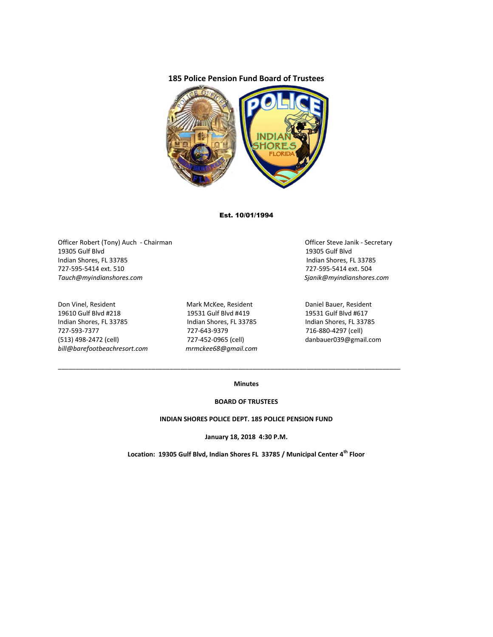## **185 Police Pension Fund Board of Trustees**



## Est. 10/01/1994

Officer Robert (Tony) Auch - Chairman Chairman Chairman Officer Steve Janik - Secretary 19305 Gulf Blvd 19305 Gulf Blvd Indian Shores, FL 33785 Indian Shores, FL 33785 727-595-5414 ext. 510 727-595-5414 ext. 504 *Tauch@myindianshores.com Sjanik@myindianshores.com*

Don Vinel, Resident The Mark McKee, Resident Daniel Bauer, Resident 19610 Gulf Blvd #218 19531 Gulf Blvd #419 19531 Gulf Blvd #617 Indian Shores, FL 33785 Indian Shores, FL 33785 Indian Shores, FL 33785 727-593-7377 727-643-9379 716-880-4297 (cell) (513) 498-2472 (cell) 727-452-0965 (cell) danbauer039@gmail.com *bill@barefootbeachresort.com mrmckee68@gmail.com*

\_\_\_\_\_\_\_\_\_\_\_\_\_\_\_\_\_\_\_\_\_\_\_\_\_\_\_\_\_\_\_\_\_\_\_\_\_\_\_\_\_\_\_\_\_\_\_\_\_\_\_\_\_\_\_\_\_\_\_\_\_\_\_\_\_\_\_\_\_\_\_\_\_\_\_\_\_\_\_\_\_\_\_\_\_\_\_\_\_\_\_\_\_\_\_

## **Minutes**

#### **BOARD OF TRUSTEES**

#### **INDIAN SHORES POLICE DEPT. 185 POLICE PENSION FUND**

**January 18, 2018 4:30 P.M.**

**Location: 19305 Gulf Blvd, Indian Shores FL 33785 / Municipal Center 4th Floor**